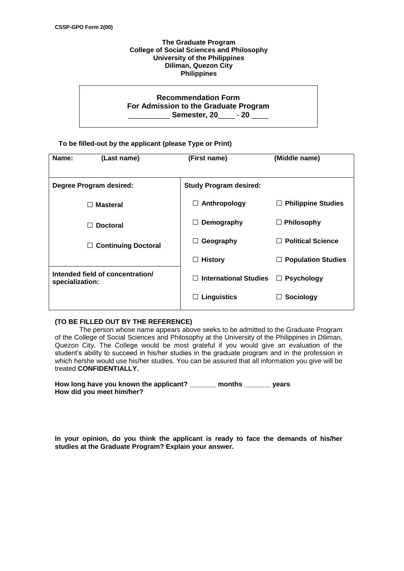## **The Graduate Program College of Social Sciences and Philosophy University of the Philippines Diliman, Quezon City Philippines**

## **Recommendation Form For Admission to the Graduate Program** \_\_\_\_\_\_\_\_\_\_ **Semester, 20**\_\_\_\_ - **20** \_\_\_\_

## **To be filled-out by the applicant (please Type or Print)**

| Name:<br>(Last name)                                | (First name)                  | (Middle name)                  |
|-----------------------------------------------------|-------------------------------|--------------------------------|
| Degree Program desired:                             | <b>Study Program desired:</b> |                                |
| <b>Masteral</b><br>$\Box$                           | Anthropology<br>□             | <b>Philippine Studies</b><br>ப |
| <b>Doctoral</b>                                     | Demography                    | $\Box$ Philosophy              |
| <b>Continuing Doctoral</b><br>$\Box$                | Geography<br>$\Box$           | <b>Political Science</b>       |
|                                                     | <b>History</b>                | <b>Population Studies</b>      |
| Intended field of concentration/<br>specialization: | <b>International Studies</b>  | $\Box$ Psychology              |
|                                                     | $\Box$ Linguistics            | Sociology                      |

## **(TO BE FILLED OUT BY THE REFERENCE)**

The person whose name appears above seeks to be admitted to the Graduate Program of the College of Social Sciences and Philosophy at the University of the Philippines in Diliman, Quezon City. The College would be most grateful if you would give an evaluation of the student's ability to succeed in his/her studies in the graduate program and in the profession in which he/she would use his/her studies. You can be assured that all information you give will be treated **CONFIDENTIALLY.**

| How long have you known the applicant? | months | vears |
|----------------------------------------|--------|-------|
| How did you meet him/her?              |        |       |

**In your opinion, do you think the applicant is ready to face the demands of his/her studies at the Graduate Program? Explain your answer.**